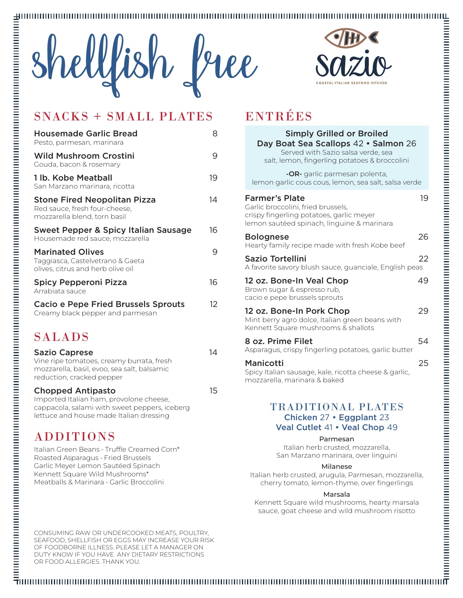



## SNACKS + SMALL PLATES ENTRÉES

| <b>Housemade Garlic Bread</b><br>Pesto, parmesan, marinara                                           | 8  |
|------------------------------------------------------------------------------------------------------|----|
| <b>Wild Mushroom Crostini</b><br>Gouda, bacon & rosemary                                             | 9  |
| 1 lb. Kobe Meatball<br>San Marzano marinara, ricotta                                                 | 19 |
| <b>Stone Fired Neopolitan Pizza</b><br>Red sauce, fresh four-cheese,<br>mozzarella blend, torn basil | 14 |
| Sweet Pepper & Spicy Italian Sausage<br>Housemade red sauce, mozzarella                              | 16 |
| <b>Marinated Olives</b><br>Taggiasca, Castelvetrano & Gaeta<br>olives, citrus and herb olive oil     | 9  |
| Spicy Pepperoni Pizza<br>Arrabiata sauce                                                             | 16 |
| <b>Cacio e Pepe Fried Brussels Sprouts</b><br>Creamy black pepper and parmesan                       | 12 |
| <b>SALADS</b>                                                                                        |    |
| Sazio Canroso                                                                                        | 14 |

| <b>Sazio Caprese</b>                        | 14 |
|---------------------------------------------|----|
| Vine ripe tomatoes, creamy burrata, fresh   |    |
| mozzarella, basil, evoo, sea salt, balsamic |    |
| reduction, cracked pepper                   |    |
|                                             |    |

## Chopped Antipasto 15

Imported Italian ham, provolone cheese, cappacola, salami with sweet peppers, iceberg lettuce and house made Italian dressing

## ADDITIONS

Italian Green Beans • Truffle Creamed Corn\* Roasted Asparagus • Fried Brussels Garlic Meyer Lemon Sautéed Spinach Kennett Square Wild Mushrooms\* Meatballs & Marinara • Garlic Broccolini

#### CONSUMING RAW OR UNDERCOOKED MEATS, POULTRY, SEAFOOD, SHELLFISH OR EGGS MAY INCREASE YOUR RISK OF FOODBORNE ILLNESS. PLEASE LET A MANAGER ON DUTY KNOW IF YOU HAVE ANY DIETARY RESTRICTIONS OR FOOD ALLERGIES. THANK YOU.

| <b>Simply Grilled or Broiled</b><br>Day Boat Sea Scallops 42 . Salmon 26<br>Served with Sazio salsa verde, sea<br>salt, lemon, fingerling potatoes & broccolini |    |
|-----------------------------------------------------------------------------------------------------------------------------------------------------------------|----|
| -OR- garlic parmesan polenta,<br>lemon garlic cous cous, lemon, sea salt, salsa verde                                                                           |    |
| <b>Farmer's Plate</b><br>Garlic broccolini, fried brussels,<br>crispy fingerling potatoes, garlic meyer<br>lemon sautéed spinach, linguine & marinara           | 19 |
| <b>Bolognese</b><br>Hearty family recipe made with fresh Kobe beef                                                                                              | 26 |
| <b>Sazio Tortellini</b><br>A favorite savory blush sauce, guanciale, English peas                                                                               | 22 |
| 12 oz. Bone-In Veal Chop<br>Brown sugar & espresso rub,<br>cacio e pepe brussels sprouts                                                                        | 49 |
| 12 oz. Bone-In Pork Chop<br>Mint berry agro dolce, Italian green beans with<br>Kennett Square mushrooms & shallots                                              | 29 |
| 8 oz. Prime Filet<br>Asparagus, crispy fingerling potatoes, garlic butter                                                                                       | 54 |
| Manicotti<br>Spicy Italian sausage, kale, ricotta cheese & garlic,<br>mozzarella, marinara & baked                                                              | 25 |
| <b>TRADITIONAL PLATES</b><br>Chicken 27 · Eggplant 23<br>Veal Cutlet 41 . Veal Chop 49                                                                          |    |
| Parmesan<br>Italian herb crusted, mozzarella,<br>San Marzano marinara, over linguini                                                                            |    |
| Milanese<br>Italian herb crusted, arugula, Parmesan, mozzarella,<br>cherry tomato, lemon-thyme, over fingerlings                                                |    |
| Marsala<br>Kappatt Caugra wild much roome beerty morreals                                                                                                       |    |

Kennett Square wild mushrooms, hearty marsala sauce, goat cheese and wild mushroom risotto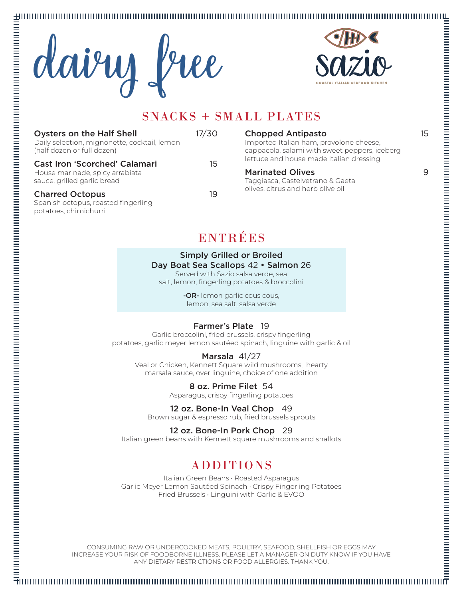## 





## SNACKS + SMALL PLATES

| <b>Oysters on the Half Shell</b><br>Daily selection, mignonette, cocktail, lemon<br>(half dozen or full dozen) | 17/30 | Choppe<br>Imported<br>cappacola                           |
|----------------------------------------------------------------------------------------------------------------|-------|-----------------------------------------------------------|
| <b>Cast Iron 'Scorched' Calamari</b><br>House marinade, spicy arrabiata<br>sauce, grilled garlic bread         | 15    | lettuce ar<br><b>Marinat</b><br>Taggiasca<br>olives, citi |
| <b>Charred Octopus</b><br>Spanish octopus, roasted fingerling<br>potatoes, chimichurri                         | 19    |                                                           |

## **Chopped Antipasto**

Italian ham, provolone cheese, a, salami with sweet peppers, iceberg nd house made Italian dressing

a, Castelvetrano & Gaeta rus and herb olive oil

## ENTRÉES

## Simply Grilled or Broiled Day Boat Sea Scallops 42 • Salmon 26

Served with Sazio salsa verde, sea salt, lemon, fingerling potatoes & broccolini

> -OR- lemon garlic cous cous, lemon, sea salt, salsa verde

## Farmer's Plate 19

Garlic broccolini, fried brussels, crispy fingerling potatoes, garlic meyer lemon sautéed spinach, linguine with garlic & oil

### Marsala 41/27

Veal or Chicken, Kennett Square wild mushrooms, hearty marsala sauce, over linguine, choice of one addition

#### 8 oz. Prime Filet 54

Asparagus, crispy fingerling potatoes

## 12 oz. Bone-In Veal Chop 49

Brown sugar & espresso rub, fried brussels sprouts

#### 12 oz. Bone-In Pork Chop 29

Italian green beans with Kennett square mushrooms and shallots

## ADDITIONS

Italian Green Beans • Roasted Asparagus Garlic Meyer Lemon Sautéed Spinach • Crispy Fingerling Potatoes Fried Brussels • Linguini with Garlic & EVOO

CONSUMING RAW OR UNDERCOOKED MEATS, POULTRY, SEAFOOD, SHELLFISH OR EGGS MAY INCREASE YOUR RISK OF FOODBORNE ILLNESS. PLEASE LET A MANAGER ON DUTY KNOW IF YOU HAVE ANY DIETARY RESTRICTIONS OR FOOD ALLERGIES. THANK YOU.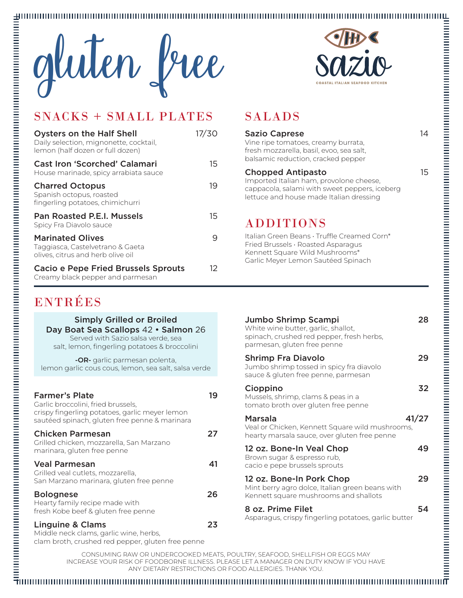



## SNACKS + SMALL PLATES SALADS

| <b>Oysters on the Half Shell</b><br>Daily selection, mignonette, cocktail,<br>lemon (half dozen or full dozen) | 17/30 |
|----------------------------------------------------------------------------------------------------------------|-------|
| <b>Cast Iron 'Scorched' Calamari</b><br>House marinade, spicy arrabiata sauce                                  | 15    |
| <b>Charred Octopus</b><br>Spanish octopus, roasted<br>fingerling potatoes, chimichurri                         | 19    |
| <b>Pan Roasted P.E.I. Mussels</b><br>Spicy Fra Diavolo sauce                                                   | 15    |
| <b>Marinated Olives</b><br>Taggiasca, Castelvetrano & Gaeta<br>olives, citrus and herb olive oil               | 9     |
| <b>Cacio e Pepe Fried Brussels Sprouts</b><br>Creamy black pepper and parmesan                                 | 12    |

Simply Grilled or Broiled Day Boat Sea Scallops 42 · Salmon 26 Served with Sazio salsa verde, sea salt, lemon, fingerling potatoes & broccolini **-OR-** garlic parmesan polenta, lemon garlic cous cous, lemon, sea salt, salsa verde

Farmer's Plate 19

Chicken Parmesan 27

Veal Parmesan 41

Bolognese 26

Linguine & Clams 23

clam broth, crushed red pepper, gluten free penne

crispy fingerling potatoes, garlic meyer lemon sautéed spinach, gluten free penne & marinara

Grilled chicken, mozzarella, San Marzano

San Marzano marinara, gluten free penne

Middle neck clams, garlic wine, herbs,

ENTRÉES

Garlic broccolini, fried brussels,

marinara, gluten free penne

Grilled veal cutlets, mozzarella,

Hearty family recipe made with fresh Kobe beef & gluten free penne

| <b>Sazio Caprese</b><br>Vine ripe tomatoes, creamy burrata,<br>fresh mozzarella, basil, evoo, sea salt,<br>balsamic reduction, cracked pepper                   | 14    |
|-----------------------------------------------------------------------------------------------------------------------------------------------------------------|-------|
| <b>Chopped Antipasto</b><br>Imported Italian ham, provolone cheese,<br>cappacola, salami with sweet peppers, iceberg<br>lettuce and house made Italian dressing | 15    |
| <b>ADDITIONS</b>                                                                                                                                                |       |
| Italian Green Beans · Truffle Creamed Corn*<br>Fried Brussels · Roasted Asparagus<br>Kennett Square Wild Mushrooms*<br>Garlic Meyer Lemon Sautéed Spinach       |       |
|                                                                                                                                                                 |       |
| Jumbo Shrimp Scampi<br>White wine butter, garlic, shallot,<br>spinach, crushed red pepper, fresh herbs,<br>parmesan, gluten free penne                          | 28    |
| <b>Shrimp Fra Diavolo</b><br>Jumbo shrimp tossed in spicy fra diavolo<br>sauce & gluten free penne, parmesan                                                    | 29    |
| Cioppino<br>Mussels, shrimp, clams & peas in a<br>tomato broth over gluten free penne                                                                           | 32    |
| Marsala<br>Veal or Chicken, Kennett Square wild mushrooms,<br>hearty marsala sauce, over gluten free penne                                                      | 41/27 |
| 12 oz. Bone-In Veal Chop<br>Brown sugar & espresso rub.<br>cacio e pepe brussels sprouts                                                                        | 49    |
| 12 oz. Bone-In Pork Chop<br>Mint berry agro dolce, Italian green beans with<br>Kennett square mushrooms and shallots                                            | 29    |

Asparagus, crispy fingerling potatoes, garlic butter

CONSUMING RAW OR UNDERCOOKED MEATS, POULTRY, SEAFOOD, SHELLFISH OR EGGS MAY INCREASE YOUR RISK OF FOODBORNE ILLNESS. PLEASE LET A MANAGER ON DUTY KNOW IF YOU HAVE ANY DIETARY RESTRICTIONS OR FOOD ALLERGIES. THANK YOU.

8 oz. Prime Filet 54

# $\overline{\tau}$ ונות התחתונות התחתונות התחתונות התחתונות התחתונות התחתונות התחתונות התחתונות התחתונות התחתונות התחת